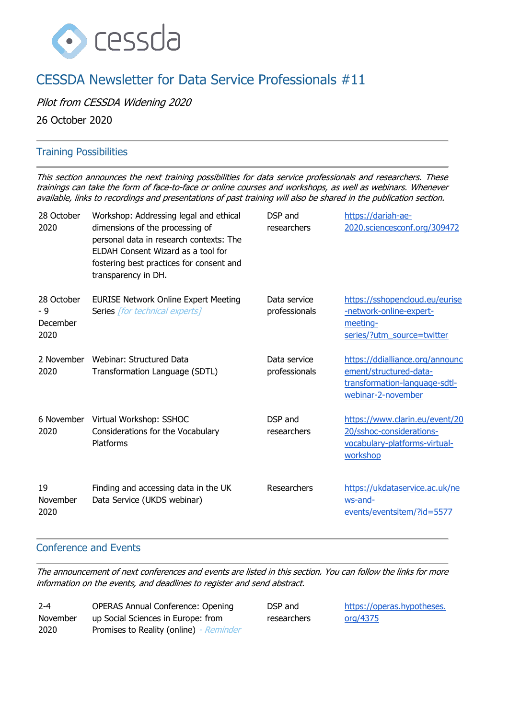

# CESSDA Newsletter for Data Service Professionals #11

Pilot from CESSDA Widening 2020

26 October 2020

## Training Possibilities

This section announces the next training possibilities for data service professionals and researchers. These trainings can take the form of face-to-face or online courses and workshops, as well as webinars. Whenever available, links to recordings and presentations of past training will also be shared in the publication section.

| 28 October<br>2020                    | Workshop: Addressing legal and ethical<br>dimensions of the processing of<br>personal data in research contexts: The<br>ELDAH Consent Wizard as a tool for<br>fostering best practices for consent and<br>transparency in DH. | DSP and<br>researchers        | https://dariah-ae-<br>2020.sciencesconf.org/309472                                                               |
|---------------------------------------|-------------------------------------------------------------------------------------------------------------------------------------------------------------------------------------------------------------------------------|-------------------------------|------------------------------------------------------------------------------------------------------------------|
| 28 October<br>- 9<br>December<br>2020 | <b>EURISE Network Online Expert Meeting</b><br>Series [for technical experts]                                                                                                                                                 | Data service<br>professionals | https://sshopencloud.eu/eurise<br>-network-online-expert-<br>meeting-<br>series/?utm_source=twitter              |
| 2 November<br>2020                    | Webinar: Structured Data<br>Transformation Language (SDTL)                                                                                                                                                                    | Data service<br>professionals | https://ddialliance.org/announc<br>ement/structured-data-<br>transformation-language-sdtl-<br>webinar-2-november |
| 6 November<br>2020                    | Virtual Workshop: SSHOC<br>Considerations for the Vocabulary<br>Platforms                                                                                                                                                     | DSP and<br>researchers        | https://www.clarin.eu/event/20<br>20/sshoc-considerations-<br>vocabulary-platforms-virtual-<br>workshop          |
| 19<br>November<br>2020                | Finding and accessing data in the UK<br>Data Service (UKDS webinar)                                                                                                                                                           | Researchers                   | https://ukdataservice.ac.uk/ne<br>ws-and-<br>events/eventsitem/?id=5577                                          |

## Conference and Events

The announcement of next conferences and events are listed in this section. You can follow the links for more information on the events, and deadlines to register and send abstract.

| $2 - 4$  | <b>OPERAS Annual Conference: Opening</b> |
|----------|------------------------------------------|
| November | up Social Sciences in Europe: from       |
| 2020     | Promises to Reality (online) - Reminder  |

DSP and researchers [https://operas.hypotheses.](https://operas.hypotheses.org/4375) [org/4375](https://operas.hypotheses.org/4375)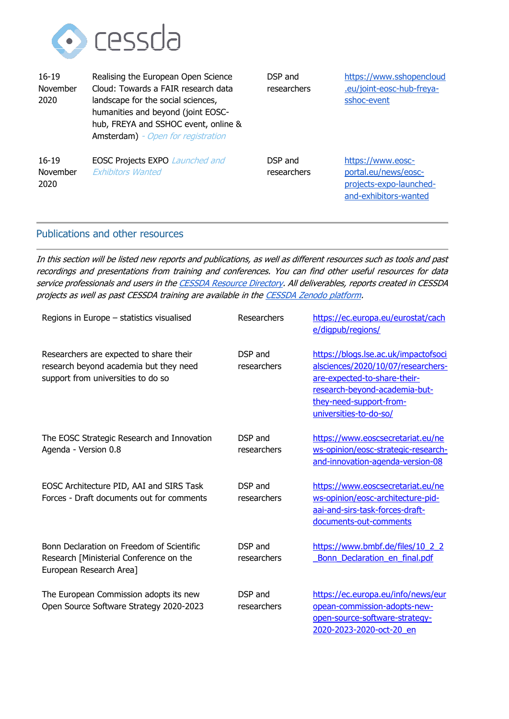

| $16 - 19$<br>November<br>2020 | Realising the European Open Science<br>Cloud: Towards a FAIR research data<br>landscape for the social sciences,<br>humanities and beyond (joint EOSC-<br>hub, FREYA and SSHOC event, online &<br><b>Amsterdam</b> ) - Open for registration | DSP and<br>researchers | https://www.sshopencloud<br>.eu/joint-eosc-hub-freya-<br>sshoc-event                          |
|-------------------------------|----------------------------------------------------------------------------------------------------------------------------------------------------------------------------------------------------------------------------------------------|------------------------|-----------------------------------------------------------------------------------------------|
| $16 - 19$<br>November<br>2020 | <b>EOSC Projects EXPO Launched and</b><br><b>Exhibitors Wanted</b>                                                                                                                                                                           | DSP and<br>researchers | https://www.eosc-<br>portal.eu/news/eosc-<br>projects-expo-launched-<br>and-exhibitors-wanted |

#### Publications and other resources

In this section will be listed new reports and publications, as well as different resources such as tools and past recordings and presentations from training and conferences. You can find other useful resources for data service professionals and users in th[e CESSDA Resource Directory.](https://www.zotero.org/groups/2382601/cessda_resource_directory/library) All deliverables, reports created in CESSDA projects as well as past CESSDA training are available in th[e CESSDA Zenodo platform.](https://zenodo.org/communities/cessda/)

| Regions in Europe - statistics visualised                                                                               | Researchers            | https://ec.europa.eu/eurostat/cach<br>e/digpub/regions/                                                                                                                                          |
|-------------------------------------------------------------------------------------------------------------------------|------------------------|--------------------------------------------------------------------------------------------------------------------------------------------------------------------------------------------------|
| Researchers are expected to share their<br>research beyond academia but they need<br>support from universities to do so | DSP and<br>researchers | https://blogs.lse.ac.uk/impactofsoci<br>alsciences/2020/10/07/researchers-<br>are-expected-to-share-their-<br>research-beyond-academia-but-<br>they-need-support-from-<br>universities-to-do-so/ |
| The EOSC Strategic Research and Innovation<br>Agenda - Version 0.8                                                      | DSP and<br>researchers | https://www.eoscsecretariat.eu/ne<br>ws-opinion/eosc-strategic-research-<br>and-innovation-agenda-version-08                                                                                     |
| EOSC Architecture PID, AAI and SIRS Task<br>Forces - Draft documents out for comments                                   | DSP and<br>researchers | https://www.eoscsecretariat.eu/ne<br>ws-opinion/eosc-architecture-pid-<br>aai-and-sirs-task-forces-draft-<br>documents-out-comments                                                              |
| Bonn Declaration on Freedom of Scientific<br>Research [Ministerial Conference on the<br>European Research Area]         | DSP and<br>researchers | https://www.bmbf.de/files/10 2 2<br>Bonn Declaration en final.pdf                                                                                                                                |
| The European Commission adopts its new<br>Open Source Software Strategy 2020-2023                                       | DSP and<br>researchers | https://ec.europa.eu/info/news/eur<br>opean-commission-adopts-new-<br>open-source-software-strategy-<br>2020-2023-2020-oct-20 en                                                                 |